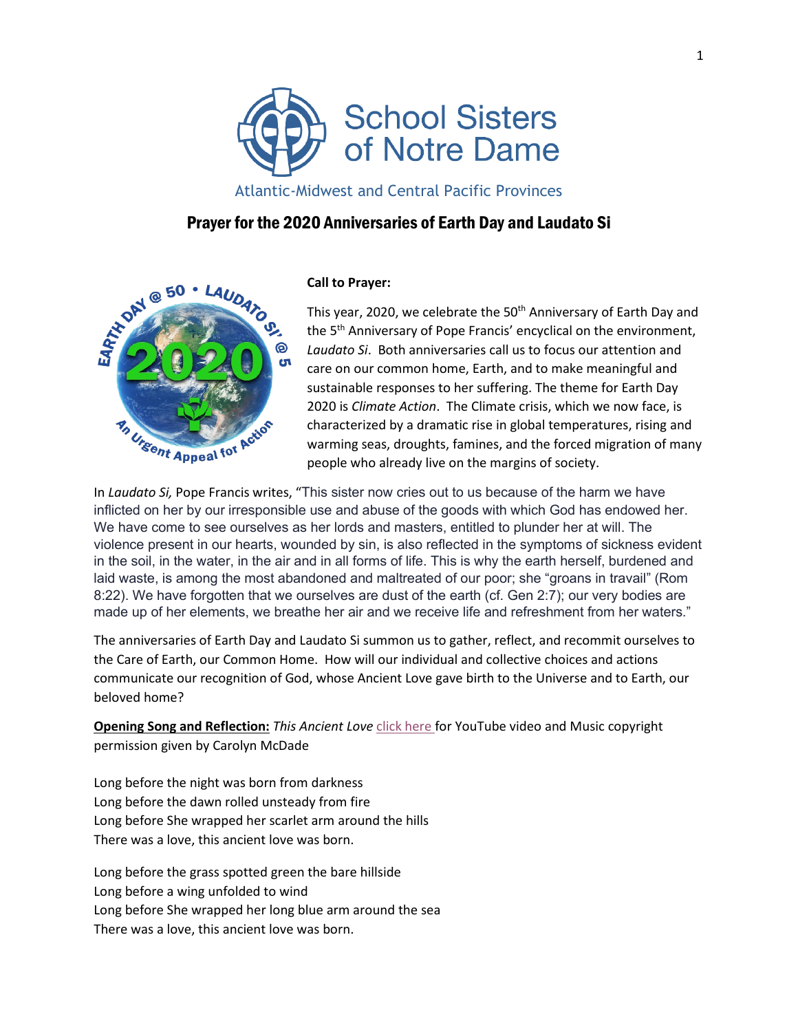

Atlantic-Midwest and Central Pacific Provinces

# Prayer for the 2020 Anniversaries of Earth Day and Laudato Si



## **Call to Prayer:**

This year, 2020, we celebrate the 50<sup>th</sup> Anniversary of Earth Day and the 5<sup>th</sup> Anniversary of Pope Francis' encyclical on the environment, *Laudato Si*. Both anniversaries call us to focus our attention and care on our common home, Earth, and to make meaningful and sustainable responses to her suffering. The theme for Earth Day 2020 is *Climate Action*. The Climate crisis, which we now face, is characterized by a dramatic rise in global temperatures, rising and warming seas, droughts, famines, and the forced migration of many people who already live on the margins of society.

In *Laudato Si,* Pope Francis writes, "This sister now cries out to us because of the harm we have inflicted on her by our irresponsible use and abuse of the goods with which God has endowed her. We have come to see ourselves as her lords and masters, entitled to plunder her at will. The violence present in our hearts, wounded by sin, is also reflected in the symptoms of sickness evident in the soil, in the water, in the air and in all forms of life. This is why the earth herself, burdened and laid waste, is among the most abandoned and maltreated of our poor; she "groans in travail" (Rom 8:22). We have forgotten that we ourselves are dust of the earth (cf. Gen 2:7); our very bodies are made up of her elements, we breathe her air and we receive life and refreshment from her waters*.*"

The anniversaries of Earth Day and Laudato Si summon us to gather, reflect, and recommit ourselves to the Care of Earth, our Common Home. How will our individual and collective choices and actions communicate our recognition of God, whose Ancient Love gave birth to the Universe and to Earth, our beloved home?

**Opening Song and Reflection:** *This Ancient Love* [click here f](https://www.bing.com/videos/search?q=carolyn+mcdade+this+ancient+love&&view=detail&mid=991D66077D85E7AC1178991D66077D85E7AC1178&&FORM=VDRVRV)or YouTube video and Music copyright permission given by Carolyn McDade

Long before the night was born from darkness Long before the dawn rolled unsteady from fire Long before She wrapped her scarlet arm around the hills There was a love, this ancient love was born.

Long before the grass spotted green the bare hillside Long before a wing unfolded to wind Long before She wrapped her long blue arm around the sea There was a love, this ancient love was born.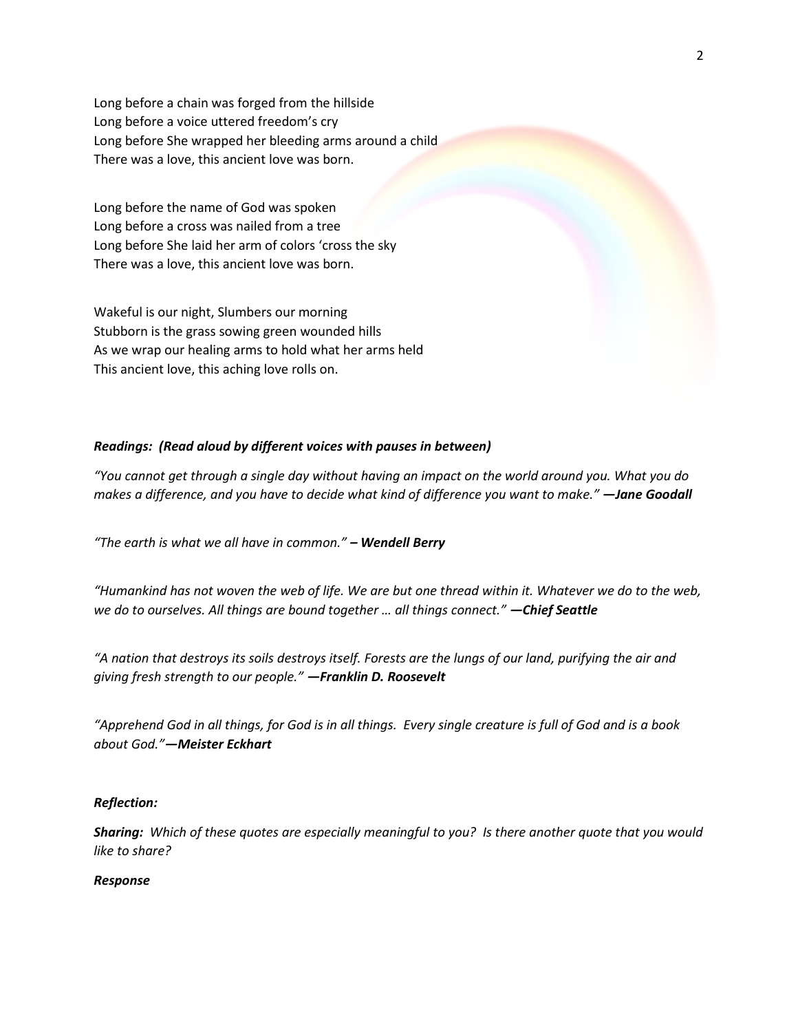Long before a chain was forged from the hillside Long before a voice uttered freedom's cry Long before She wrapped her bleeding arms around a child There was a love, this ancient love was born.

Long before the name of God was spoken Long before a cross was nailed from a tree Long before She laid her arm of colors 'cross the sky There was a love, this ancient love was born.

Wakeful is our night, Slumbers our morning Stubborn is the grass sowing green wounded hills As we wrap our healing arms to hold what her arms held This ancient love, this aching love rolls on.

## *Readings: (Read aloud by different voices with pauses in between)*

*"You cannot get through a single day without having an impact on the world around you. What you do makes a difference, and you have to decide what kind of difference you want to make." —Jane Goodall*

*"The earth is what we all have in common." – Wendell Berry*

*"Humankind has not woven the web of life. We are but one thread within it. Whatever we do to the web, we do to ourselves. All things are bound together … all things connect." —Chief Seattle*

*"A nation that destroys its soils destroys itself. Forests are the lungs of our land, purifying the air and giving fresh strength to our people." —Franklin D. Roosevelt*

*"Apprehend God in all things, for God is in all things. Every single creature is full of God and is a book about God."—Meister Eckhart*

### *Reflection:*

*Sharing: Which of these quotes are especially meaningful to you? Is there another quote that you would like to share?*

#### *Response*